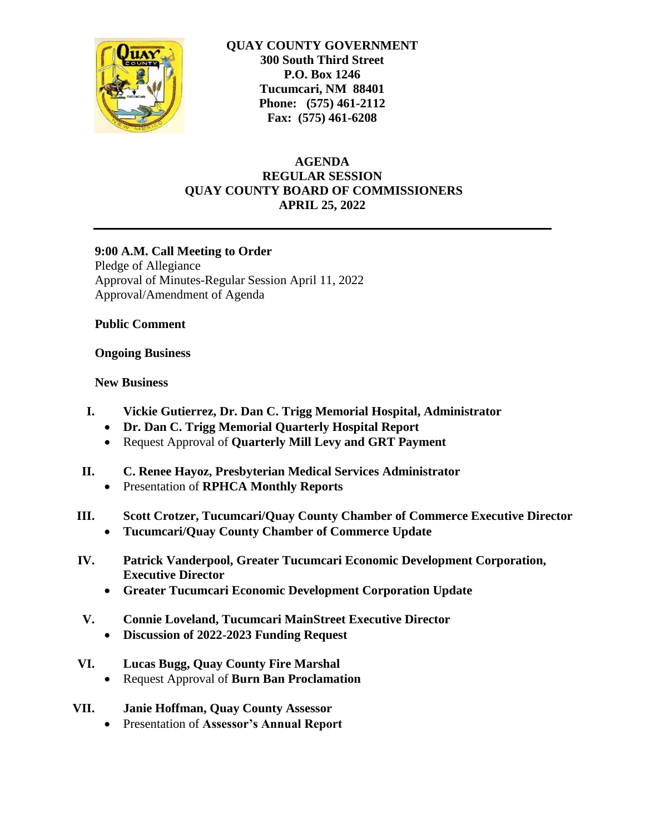

**QUAY COUNTY GOVERNMENT 300 South Third Street P.O. Box 1246 Tucumcari, NM 88401 Phone: (575) 461-2112 Fax: (575) 461-6208**

# **AGENDA REGULAR SESSION QUAY COUNTY BOARD OF COMMISSIONERS APRIL 25, 2022**

## **9:00 A.M. Call Meeting to Order**

Pledge of Allegiance Approval of Minutes-Regular Session April 11, 2022 Approval/Amendment of Agenda

## **Public Comment**

## **Ongoing Business**

## **New Business**

- **I. Vickie Gutierrez, Dr. Dan C. Trigg Memorial Hospital, Administrator**
	- **Dr. Dan C. Trigg Memorial Quarterly Hospital Report**
	- Request Approval of **Quarterly Mill Levy and GRT Payment**
- **II. C. Renee Hayoz, Presbyterian Medical Services Administrator**
	- Presentation of **RPHCA Monthly Reports**
- **III. Scott Crotzer, Tucumcari/Quay County Chamber of Commerce Executive Director**
	- **Tucumcari/Quay County Chamber of Commerce Update**
- **IV. Patrick Vanderpool, Greater Tucumcari Economic Development Corporation, Executive Director** 
	- **Greater Tucumcari Economic Development Corporation Update**
- **V. Connie Loveland, Tucumcari MainStreet Executive Director**
	- **Discussion of 2022-2023 Funding Request**
- **VI. Lucas Bugg, Quay County Fire Marshal**
	- Request Approval of **Burn Ban Proclamation**
- **VII. Janie Hoffman, Quay County Assessor**
	- Presentation of **Assessor's Annual Report**